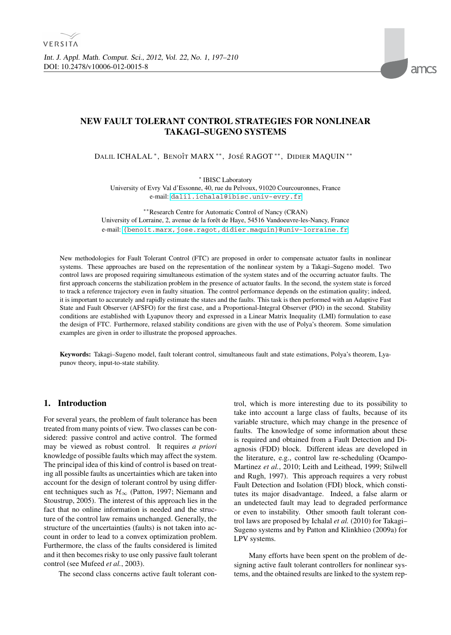# **NEW FAULT TOLERANT CONTROL STRATEGIES FOR NONLINEAR TAKAGI–SUGENO SYSTEMS**

DALIL ICHALAL \*, BENOÎT MARX \*\*, JOSÉ RAGOT \*\*, DIDIER MAQUIN \*\*

<sup>∗</sup> IBISC Laboratory

University of Evry Val d'Essonne, 40, rue du Pelvoux, 91020 Courcouronnes, France e-mail: <dalil.ichalal@ibisc.univ-evry.fr>

∗∗Research Centre for Automatic Control of Nancy (CRAN) University of Lorraine, 2, avenue de la forêt de Haye, 54516 Vandoeuvre-les-Nancy, France e-mail: {benoit.marx, jose.ragot, didier.maquin}@univ-lorraine.fr

New methodologies for Fault Tolerant Control (FTC) are proposed in order to compensate actuator faults in nonlinear systems. These approaches are based on the representation of the nonlinear system by a Takagi–Sugeno model. Two control laws are proposed requiring simultaneous estimation of the system states and of the occurring actuator faults. The first approach concerns the stabilization problem in the presence of actuator faults. In the second, the system state is forced to track a reference trajectory even in faulty situation. The control performance depends on the estimation quality; indeed, it is important to accurately and rapidly estimate the states and the faults. This task is then performed with an Adaptive Fast State and Fault Observer (AFSFO) for the first case, and a Proportional-Integral Observer (PIO) in the second. Stability conditions are established with Lyapunov theory and expressed in a Linear Matrix Inequality (LMI) formulation to ease the design of FTC. Furthermore, relaxed stability conditions are given with the use of Polya's theorem. Some simulation examples are given in order to illustrate the proposed approaches.

**Keywords:** Takagi–Sugeno model, fault tolerant control, simultaneous fault and state estimations, Polya's theorem, Lyapunov theory, input-to-state stability.

### **1. Introduction**

For several years, the problem of fault tolerance has been treated from many points of view. Two classes can be considered: passive control and active control. The formed may be viewed as robust control. It requires *a priori* knowledge of possible faults which may affect the system. The principal idea of this kind of control is based on treating all possible faults as uncertainties which are taken into account for the design of tolerant control by using different techniques such as  $\mathcal{H}_{\infty}$  (Patton, 1997; Niemann and Stoustrup, 2005). The interest of this approach lies in the fact that no online information is needed and the structure of the control law remains unchanged. Generally, the structure of the uncertainties (faults) is not taken into account in order to lead to a convex optimization problem. Furthermore, the class of the faults considered is limited and it then becomes risky to use only passive fault tolerant control (see Mufeed *et al.*, 2003).

The second class concerns active fault tolerant con-

trol, which is more interesting due to its possibility to take into account a large class of faults, because of its variable structure, which may change in the presence of faults. The knowledge of some information about these is required and obtained from a Fault Detection and Diagnosis (FDD) block. Different ideas are developed in the literature, e.g., control law re-scheduling (Ocampo-Martinez *et al.*, 2010; Leith and Leithead, 1999; Stilwell and Rugh, 1997). This approach requires a very robust Fault Detection and Isolation (FDI) block, which constitutes its major disadvantage. Indeed, a false alarm or an undetected fault may lead to degraded performance or even to instability. Other smooth fault tolerant control laws are proposed by Ichalal *et al.* (2010) for Takagi– Sugeno systems and by Patton and Klinkhieo (2009a) for LPV systems.

Many efforts have been spent on the problem of designing active fault tolerant controllers for nonlinear systems, and the obtained results are linked to the system rep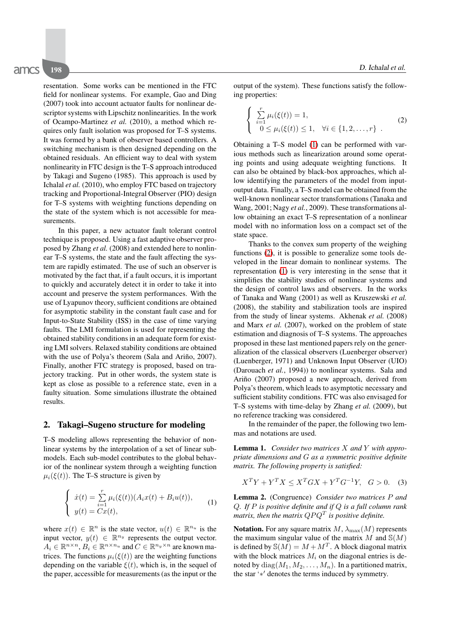resentation. Some works can be mentioned in the FTC field for nonlinear systems. For example, Gao and Ding (2007) took into account actuator faults for nonlinear descriptor systems with Lipschitz nonlinearities. In the work of Ocampo-Martinez *et al.* (2010), a method which requires only fault isolation was proposed for T–S systems. It was formed by a bank of observer based controllers. A switching mechanism is then designed depending on the obtained residuals. An efficient way to deal with system nonlinearity in FTC design is the T–S approach introduced by Takagi and Sugeno (1985). This approach is used by Ichalal *et al.* (2010), who employ FTC based on trajectory tracking and Proportional-Integral Observer (PIO) design for T–S systems with weighting functions depending on the state of the system which is not accessible for measurements.

In this paper, a new actuator fault tolerant control technique is proposed. Using a fast adaptive observer proposed by Zhang *et al.* (2008) and extended here to nonlinear T–S systems, the state and the fault affecting the system are rapidly estimated. The use of such an observer is motivated by the fact that, if a fault occurs, it is important to quickly and accurately detect it in order to take it into account and preserve the system performances. With the use of Lyapunov theory, sufficient conditions are obtained for asymptotic stability in the constant fault case and for Input-to-State Stability (ISS) in the case of time varying faults. The LMI formulation is used for representing the obtained stability conditions in an adequate form for existing LMI solvers. Relaxed stability conditions are obtained with the use of Polya's theorem (Sala and Ariño, 2007). Finally, another FTC strategy is proposed, based on trajectory tracking. Put in other words, the system state is kept as close as possible to a reference state, even in a faulty situation. Some simulations illustrate the obtained results.

#### **2. Takagi–Sugeno structure for modeling**

T–S modeling allows representing the behavior of nonlinear systems by the interpolation of a set of linear submodels. Each sub-model contributes to the global behavior of the nonlinear system through a weighting function  $\mu_i(\xi(t))$ . The T–S structure is given by

<span id="page-1-0"></span>
$$
\begin{cases}\n\dot{x}(t) = \sum_{i=1}^{r} \mu_i(\xi(t)) (A_i x(t) + B_i u(t)), \\
y(t) = Cx(t),\n\end{cases} (1)
$$

where  $x(t) \in \mathbb{R}^n$  is the state vector,  $u(t) \in \mathbb{R}^{n_u}$  is the input vector,  $y(t) \in \mathbb{R}^{n_y}$  represents the output vector.  $A_i \in \mathbb{R}^{n \times n}$ ,  $B_i \in \mathbb{R}^{n \times n_u}$  and  $C \in \mathbb{R}^{n_y \times n}$  are known matrices. The functions  $\mu_i(\xi(t))$  are the weighting functions depending on the variable  $\xi(t)$ , which is, in the sequel of the paper, accessible for measurements (as the input or the

output of the system). These functions satisfy the following properties:

<span id="page-1-1"></span>
$$
\begin{cases}\n\sum_{i=1}^{r} \mu_i(\xi(t)) = 1, \\
0 \le \mu_i(\xi(t)) \le 1, \quad \forall i \in \{1, 2, ..., r\} \n\end{cases} \n\tag{2}
$$

Obtaining a T–S model [\(1\)](#page-1-0) can be performed with various methods such as linearization around some operating points and using adequate weighting functions. It can also be obtained by black-box approaches, which allow identifying the parameters of the model from inputoutput data. Finally, a T–S model can be obtained from the well-known nonlinear sector transformations (Tanaka and Wang, 2001; Nagy *et al.*, 2009). These transformations allow obtaining an exact T–S representation of a nonlinear model with no information loss on a compact set of the state space.

Thanks to the convex sum property of the weighing functions [\(2\)](#page-1-1), it is possible to generalize some tools developed in the linear domain to nonlinear systems. The representation [\(1\)](#page-1-0) is very interesting in the sense that it simplifies the stability studies of nonlinear systems and the design of control laws and observers. In the works of Tanaka and Wang (2001) as well as Kruszewski *et al.* (2008), the stability and stabilization tools are inspired from the study of linear systems. Akhenak *et al.* (2008) and Marx *et al.* (2007), worked on the problem of state estimation and diagnosis of T–S systems. The approaches proposed in these last mentioned papers rely on the generalization of the classical observers (Luenberger observer) (Luenberger, 1971) and Unknown Input Observer (UIO) (Darouach *et al.*, 1994)) to nonlinear systems. Sala and Ariño (2007) proposed a new approach, derived from Polya's theorem, which leads to asymptotic necessary and sufficient stability conditions. FTC was also envisaged for T–S systems with time-delay by Zhang *et al.* (2009), but no reference tracking was considered.

<span id="page-1-2"></span>In the remainder of the paper, the following two lemmas and notations are used.

**Lemma 1.** *Consider two matrices* X *and* Y *with appropriate dimensions and* G *as a symmetric positive definite matrix. The following property is satisfied:*

<span id="page-1-3"></span>
$$
X^T Y + Y^T X \le X^T G X + Y^T G^{-1} Y, \quad G > 0. \tag{3}
$$

**Lemma 2.** (Congruence) *Consider two matrices* P *and* Q*. If* P *is positive definite and if* Q *is a full column rank matrix, then the matrix*  $QPQ^{T}$  *is positive definite.* 

**Notation.** For any square matrix  $M$ ,  $\lambda_{\text{max}}(M)$  represents the maximum singular value of the matrix  $M$  and  $\mathcal{S}(M)$ is defined by  $\mathbb{S}(M) = M + M^T$ . A block diagonal matrix with the block matrices  $M_i$  on the diagonal entries is denoted by  $diag(M_1, M_2, \ldots, M_n)$ . In a partitioned matrix, the star '<sup>∗'</sup> denotes the terms induced by symmetry.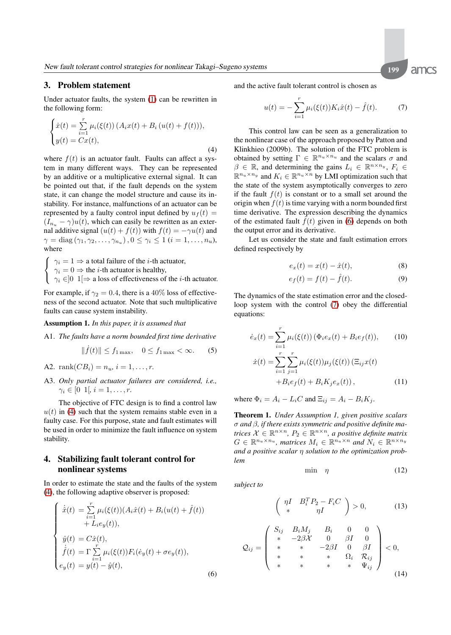#### **3. Problem statement**

Under actuator faults, the system [\(1\)](#page-1-0) can be rewritten in the following form:

<span id="page-2-0"></span>
$$
\begin{cases}\n\dot{x}(t) = \sum_{i=1}^{r} \mu_i(\xi(t)) \left( A_i x(t) + B_i \left( u(t) + f(t) \right) \right), \\
y(t) = Cx(t),\n\end{cases} \tag{4}
$$

where  $f(t)$  is an actuator fault. Faults can affect a system in many different ways. They can be represented by an additive or a multiplicative external signal. It can be pointed out that, if the fault depends on the system state, it can change the model structure and cause its instability. For instance, malfunctions of an actuator can be represented by a faulty control input defined by  $u_f(t)$  =  $(I_{n_{u}} - \gamma)u(t)$ , which can easily be rewritten as an external additive signal  $(u(t) + f(t))$  with  $f(t) = -\gamma u(t)$  and  $\gamma = \text{diag}(\gamma_1, \gamma_2, \dots, \gamma_{n_u}), 0 \leq \gamma_i \leq 1 \ (i = 1, \dots, n_u),$ where

 $\sqrt{ }$  $\overline{J}$  $\sqrt{2}$  $\gamma_i = 1 \Rightarrow$  a total failure of the *i*-th actuator,  $\gamma_i = 0 \Rightarrow$  the *i*-th actuator is healthy,  $\gamma_i \in ]0 \; 1] \Rightarrow$  a loss of effectiveness of the *i*-th actuator.

For example, if  $\gamma_2 = 0.4$ , there is a 40% loss of effectiveness of the second actuator. Note that such multiplicative faults can cause system instability.

**Assumption 1.** *In this paper, it is assumed that*

A1. *The faults have a norm bounded first time derivative*

$$
||\dot{f}(t)|| \le f_{1\,\text{max}}, \quad 0 \le f_{1\,\text{max}} < \infty.
$$
 (5)

A2. rank $(CB_i) = n_u$ ,  $i = 1, ..., r$ .

A3. *Only partial actuator failures are considered, i.e.,*  $\gamma_i \in [0 \; 1], i = 1, \ldots, r.$ 

The objective of FTC design is to find a control law  $u(t)$  in [\(4\)](#page-2-0) such that the system remains stable even in a faulty case. For this purpose, state and fault estimates will be used in order to minimize the fault influence on system stability.

# **4. Stabilizing fault tolerant control for nonlinear systems**

In order to estimate the state and the faults of the system [\(4\)](#page-2-0), the following adaptive observer is proposed:

<span id="page-2-1"></span>
$$
\begin{cases}\n\dot{\hat{x}}(t) = \sum_{i=1}^{r} \mu_i(\xi(t)) (A_i \hat{x}(t) + B_i(u(t) + \hat{f}(t)) \\
+ L_i e_y(t)), \\
\hat{y}(t) = C \hat{x}(t), \\
\dot{\hat{f}}(t) = \Gamma \sum_{i=1}^{r} \mu_i(\xi(t)) F_i(\dot{e}_y(t) + \sigma e_y(t)), \\
e_y(t) = y(t) - \hat{y}(t),\n\end{cases} (6)
$$

and the active fault tolerant control is chosen as

<span id="page-2-2"></span>
$$
u(t) = -\sum_{i=1}^{r} \mu_i(\xi(t)) K_i \hat{x}(t) - \hat{f}(t).
$$
 (7)

This control law can be seen as a generalization to the nonlinear case of the approach proposed by Patton and Klinkhieo (2009b). The solution of the FTC problem is obtained by setting  $\Gamma \in \mathbb{R}^{n_u \times n_u}$  and the scalars  $\sigma$  and  $\beta \in \mathbb{R}$ , and determining the gains  $L_i \in \mathbb{R}^{n \times n_y}$ ,  $F_i \in$  $\mathbb{R}^{n_u \times n_y}$  and  $K_i \in \mathbb{R}^{n_u \times n}$  by LMI optimization such that the state of the system asymptotically converges to zero if the fault  $f(t)$  is constant or to a small set around the origin when  $f(t)$  is time varying with a norm bounded first time derivative. The expression describing the dynamics of the estimated fault  $\hat{f}(t)$  given in [\(6\)](#page-2-1) depends on both the output error and its derivative.

Let us consider the state and fault estimation errors defined respectively by

$$
e_x(t) = x(t) - \hat{x}(t),\tag{8}
$$

<span id="page-2-3"></span>
$$
e_f(t) = f(t) - \hat{f}(t). \tag{9}
$$

The dynamics of the state estimation error and the closedloop system with the control [\(7\)](#page-2-2) obey the differential equations:

$$
\dot{e}_x(t) = \sum_{i=1}^r \mu_i(\xi(t)) \left( \Phi_i e_x(t) + B_i e_f(t) \right), \qquad (10)
$$

$$
\dot{x}(t) = \sum_{i=1}^r \sum_{j=1}^r \mu_i(\xi(t)) \mu_j(\xi(t)) \left( \Xi_{ij} x(t) + B_i e_f(t) + B_i K_j e_x(t) \right), \qquad (11)
$$

<span id="page-2-5"></span>where  $\Phi_i = A_i - L_iC$  and  $\Xi_{ij} = A_i - B_iK_j$ .

**Theorem 1.** *Under Assumption 1, given positive scalars* σ *and* β*, if there exists symmetric and positive definite matrices*  $X \in \mathbb{R}^{n \times n}$ ,  $P_2 \in \mathbb{R}^{n \times n}$ , a positive definite matrix  $G \in \mathbb{R}^{n_u \times n_u}$ , matrices  $M_i \in \mathbb{R}^{n_u \times n_u}$  and  $N_i \in \mathbb{R}^{n \times n_y}$ *and a positive scalar* η *solution to the optimization problem*

<span id="page-2-6"></span><span id="page-2-4"></span>
$$
\min \quad \eta \tag{12}
$$

*subject to*

<span id="page-2-7"></span>
$$
\begin{pmatrix}\n\eta I & B_i^T P_2 - F_i C \\
\ast & \eta I\n\end{pmatrix} > 0,\n\tag{13}
$$

<span id="page-2-8"></span>
$$
Q_{ij} = \begin{pmatrix} S_{ij} & B_i M_j & B_i & 0 & 0 \\ * & -2\beta \mathcal{X} & 0 & \beta I & 0 \\ * & * & -2\beta I & 0 & \beta I \\ * & * & * & \Omega_i & \mathcal{R}_{ij} \\ * & * & * & * & \Psi_{ij} \end{pmatrix} < 0,
$$
\n(14)

amcs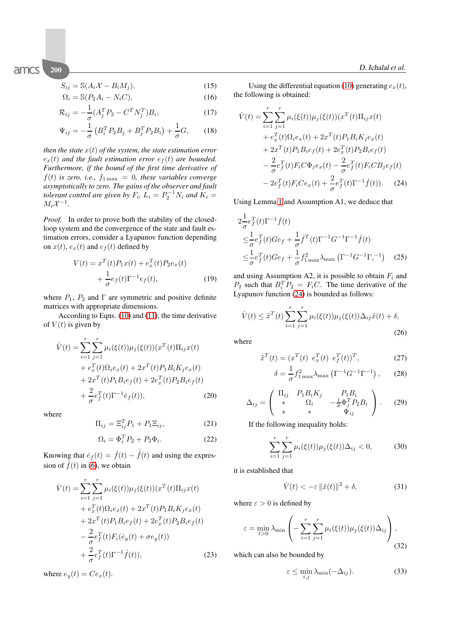$$
\mathsf{amcs} \blacktriangleright
$$

$$
S_{ij} = \mathbb{S}(A_i \mathcal{X} - B_i M_j),\tag{15}
$$

$$
\Omega_i = \mathbb{S}(P_2 A_i - N_i C),\tag{16}
$$

$$
\mathcal{R}_{ij} = -\frac{1}{\sigma} (A_j^T P_2 - C^T N_j^T) B_i, \tag{17}
$$

$$
\Psi_{ij} = -\frac{1}{\sigma} \left( B_i^T P_2 B_j + B_j^T P_2 B_i \right) + \frac{1}{\sigma} G, \qquad (18)
$$

*then the state*  $x(t)$  *of the system, the state estimation error*  $e_x(t)$  *and the fault estimation error*  $e_f(t)$  *are bounded. Furthermore, if the bound of the first time derivative of*  $f(t)$  *is zero, i.e.,*  $f_{1\max} = 0$ *, these variables converge asymptotically to zero. The gains of the observer and fault tolerant control are given by*  $F_i$ ,  $L_i = P_2^{-1} N_i$  *and*  $K_i =$  $M_i \mathcal{X}^{-1}$ .

*Proof.* In order to prove both the stability of the closedloop system and the convergence of the state and fault estimation errors, consider a Lyapunov function depending on  $x(t)$ ,  $e_x(t)$  and  $e_f(t)$  defined by

$$
V(t) = x^{T}(t)P_{1}x(t) + e_{x}^{T}(t)P_{2}e_{x}(t)
$$

$$
+ \frac{1}{\sigma}e_{f}(t)\Gamma^{-1}e_{f}(t),
$$
(19)

where  $P_1$ ,  $P_2$  and  $\Gamma$  are symmetric and positive definite matrices with appropriate dimensions.

According to Eqns. [\(10\)](#page-2-3) and [\(11\)](#page-2-4), the time derivative of  $V(t)$  is given by

$$
\dot{V}(t) = \sum_{i=1}^{r} \sum_{j=1}^{r} \mu_i(\xi(t)) \mu_j(\xi(t)) (x^T(t) \Pi_{ij} x(t) \n+ e_x^T(t) \Omega_i e_x(t) + 2x^T(t) P_1 B_i K_j e_x(t) \n+ 2x^T(t) P_1 B_i e_f(t) + 2e_x^T(t) P_2 B_i e_f(t) \n+ \frac{2}{\sigma} e_f^T(t) \Gamma^{-1} \dot{e}_f(t),
$$
\n(20)

where

<span id="page-3-2"></span>
$$
\Pi_{ij} = \Xi_{ij}^T P_1 + P_1 \Xi_{ij},\tag{21}
$$

$$
\Omega_i = \Phi_i^T P_2 + P_2 \Phi_i. \tag{22}
$$

Knowing that  $\dot{e}_f(t) = \dot{f}(t) - \dot{\hat{f}}(t)$  and using the expression of  $\hat{f}(t)$  in [\(6\)](#page-2-1), we obtain

$$
\dot{V}(t) = \sum_{i=1}^{r} \sum_{j=1}^{r} \mu_i(\xi(t)) \mu_j(\xi(t)) (x^T(t) \Pi_{ij} x(t) \n+ e_x^T(t) \Omega_i e_x(t) + 2x^T(t) P_1 B_i K_j e_x(t) \n+ 2x^T(t) P_1 B_i e_f(t) + 2e_x^T(t) P_2 B_i e_f(t) \n- \frac{2}{\sigma} e_f^T(t) F_i(\dot{e}_y(t) + \sigma e_y(t)) \n+ \frac{2}{\sigma} e_f^T(t) \Gamma^{-1} \dot{f}(t),
$$
\n(23)

where  $e_y(t) = Ce_x(t)$ .

Using the differential equation [\(10\)](#page-2-3) generating  $e_x(t)$ , the following is obtained:

$$
\dot{V}(t) = \sum_{i=1}^{r} \sum_{j=1}^{r} \mu_i(\xi(t)) \mu_j(\xi(t)) (x^T(t) \Pi_{ij} x(t) \n+ e_x^T(t) \Omega_i e_x(t) + 2x^T(t) P_1 B_i K_j e_x(t) \n+ 2x^T(t) P_1 B_i e_f(t) + 2e_x^T(t) P_2 B_i e_f(t) \n- \frac{2}{\sigma} e_f^T(t) F_i C \Phi_j e_x(t) - \frac{2}{\sigma} e_f^T(t) F_i C B_j e_f(t) \n- 2e_f^T(t) F_i C e_x(t) + \frac{2}{\sigma} e_f^T(t) \Gamma^{-1} \dot{f}(t).
$$
\n(24)

Using Lemma [1](#page-1-2) and Assumption A1, we deduce that

<span id="page-3-0"></span>
$$
2\frac{1}{\sigma}e_f^T(t)\Gamma^{-1}\dot{f}(t) \n\leq \frac{1}{\sigma}e_f^T(t)Ge_f + \frac{1}{\sigma}f^T(t)\Gamma^{-1}G^{-1}\Gamma^{-1}\dot{f}(t) \n\leq \frac{1}{\sigma}e_f^T(t)Ge_f + \frac{1}{\sigma}f_{1\max}^2\lambda_{\max}\left(\Gamma^{-1}G^{-1}\Gamma^{-1}\right)
$$
 (25)

and using Assumption A2, it is possible to obtain  $F_i$  and  $P_2$  such that  $B_i^T P_2 = F_i C$ . The time derivative of the Lyapunov function [\(24\)](#page-3-0) is bounded as follows:

$$
\dot{V}(t) \leq \tilde{x}^{T}(t) \sum_{i=1}^{r} \sum_{j=1}^{r} \mu_{i}(\xi(t)) \mu_{j}(\xi(t)) \Delta_{ij} \tilde{x}(t) + \delta,
$$
\n(26)

where

$$
\tilde{x}^{T}(t) = (x^{T}(t) e_{x}^{T}(t) e_{f}^{T}(t))^{T},
$$
\n(27)

<span id="page-3-4"></span>
$$
\delta = \frac{1}{\sigma} f_{1\max}^2 \lambda_{\max} \left( \Gamma^{-1} G^{-1} \Gamma^{-1} \right), \qquad (28)
$$

<span id="page-3-5"></span>
$$
\Delta_{ij} = \begin{pmatrix} \Pi_{ij} & P_1 B_i K_j & P_1 B_i \\ * & \Omega_i & -\frac{1}{\sigma} \Phi_j^T P_2 B_i \\ * & * & \Psi_{ij} \end{pmatrix}.
$$
 (29)

If the following inequality holds:

<span id="page-3-1"></span>
$$
\sum_{i=1}^{r} \sum_{j=1}^{r} \mu_i(\xi(t)) \mu_j(\xi(t)) \Delta_{ij} < 0,\tag{30}
$$

it is established that

<span id="page-3-3"></span>
$$
\dot{V}(t) < -\varepsilon \left\| \tilde{x}(t) \right\|^2 + \delta,\tag{31}
$$

where  $\varepsilon > 0$  is defined by

$$
\varepsilon = \min_{t>0} \lambda_{\min} \left( -\sum_{i=1}^r \sum_{j=1}^r \mu_i(\xi(t)) \mu_j(\xi(t)) \Delta_{ij} \right),\tag{32}
$$

which can also be bounded by

$$
\varepsilon \le \min_{i,j} \lambda_{\min}(-\Delta_{ij}).\tag{33}
$$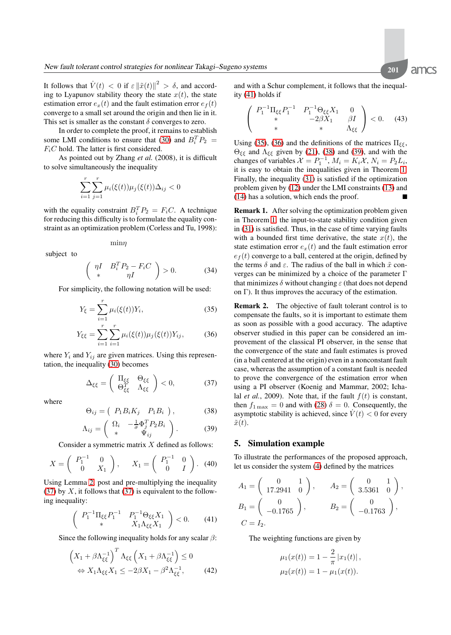It follows that  $\dot{V}(t) < 0$  if  $\varepsilon ||\tilde{x}(t)||^2 > \delta$ , and according to Lyapunov stability theory the state  $x(t)$ , the state estimation error  $e_x(t)$  and the fault estimation error  $e_f(t)$ converge to a small set around the origin and then lie in it. This set is smaller as the constant  $\delta$  converges to zero.

In order to complete the proof, it remains to establish some LMI conditions to ensure that [\(30\)](#page-3-1) and  $B_i^T P_2 =$  $F_iC$  hold. The latter is first considered.

As pointed out by Zhang *et al.* (2008), it is difficult to solve simultaneously the inequality

$$
\sum_{i=1}^{r} \sum_{j=1}^{r} \mu_i(\xi(t)) \mu_j(\xi(t)) \Delta_{ij} < 0
$$

with the equality constraint  $B_i^T P_2 = F_i C$ . A technique for reducing this difficulty is to formulate the equality constraint as an optimization problem (Corless and Tu, 1998):

minη

subject to

$$
\begin{pmatrix} \eta I & B_i^T P_2 - F_i C \\ * & \eta I \end{pmatrix} > 0.
$$
 (34)

For simplicity, the following notation will be used:

$$
Y_{\xi} = \sum_{i=1}^{r} \mu_i(\xi(t)) Y_i,
$$
\n(35)

$$
Y_{\xi\xi} = \sum_{i=1}^{r} \sum_{i=1}^{r} \mu_i(\xi(t)) \mu_j(\xi(t)) Y_{ij},
$$
 (36)

where  $Y_i$  and  $Y_{ij}$  are given matrices. Using this representation, the inequality [\(30\)](#page-3-1) becomes

<span id="page-4-0"></span>
$$
\Delta_{\xi\xi} = \begin{pmatrix} \Pi_{\xi\xi} & \Theta_{\xi\xi} \\ \Theta_{\xi\xi}^T & \Lambda_{\xi\xi} \end{pmatrix} < 0, \tag{37}
$$

where

<span id="page-4-4"></span>
$$
\Theta_{ij} = \left( P_1 B_i K_j \quad P_1 B_i \right), \tag{38}
$$

<span id="page-4-5"></span>
$$
\Lambda_{ij} = \begin{pmatrix} \Omega_i & -\frac{1}{\sigma} \Phi_j^T P_2 B_i \\ * & \Psi_{ij} \end{pmatrix} . \tag{39}
$$

Consider a symmetric matrix  $X$  defined as follows:

$$
X = \begin{pmatrix} P_1^{-1} & 0 \\ 0 & X_1 \end{pmatrix}, \qquad X_1 = \begin{pmatrix} P_1^{-1} & 0 \\ 0 & I \end{pmatrix}. \tag{40}
$$

Using Lemma [2,](#page-1-3) post and pre-multiplying the inequality [\(37\)](#page-4-0) by  $X$ , it follows that (37) is equivalent to the following inequality:

<span id="page-4-1"></span>
$$
\left(\begin{array}{cc} P_1^{-1} \Pi_{\xi\xi} P_1^{-1} & P_1^{-1} \Theta_{\xi\xi} X_1 \\ * & X_1 \Lambda_{\xi\xi} X_1 \end{array}\right) < 0. \tag{41}
$$

Since the following inequality holds for any scalar  $\beta$ :

$$
\left(X_1 + \beta \Lambda_{\xi\xi}^{-1}\right)^T \Lambda_{\xi\xi} \left(X_1 + \beta \Lambda_{\xi\xi}^{-1}\right) \le 0
$$
  

$$
\Leftrightarrow X_1 \Lambda_{\xi\xi} X_1 \le -2\beta X_1 - \beta^2 \Lambda_{\xi\xi}^{-1}, \tag{42}
$$

and with a Schur complement, it follows that the inequality [\(41\)](#page-4-1) holds if

$$
\begin{pmatrix} P_1^{-1} \Pi_{\xi\xi} P_1^{-1} & P_1^{-1} \Theta_{\xi\xi} X_1 & 0 \\ * & -2\beta X_1 & \beta I \\ * & * & \Lambda_{\xi\xi} \end{pmatrix} < 0. \tag{43}
$$

Using [\(35\)](#page-4-2), [\(36\)](#page-4-3) and the definitions of the matrices  $\Pi_{\xi\xi}$ ,  $\Theta_{\xi\xi}$  and  $\Lambda_{\xi\xi}$  given by [\(21\)](#page-3-2), [\(38\)](#page-4-4) and [\(39\)](#page-4-5), and with the changes of variables  $X = P_1^{-1}$ ,  $M_i = K_i X$ ,  $N_i = P_2 L_i$ , it is easy to obtain the inequalities given in Theorem [1.](#page-2-5) Finally, the inequality [\(31\)](#page-3-3) is satisfied if the optimization problem given by [\(12\)](#page-2-6) under the LMI constraints [\(13\)](#page-2-7) and  $(14)$  has a solution, which ends the proof.

**Remark 1.** After solving the optimization problem given in Theorem [1,](#page-2-5) the input-to-state stability condition given in [\(31\)](#page-3-3) is satisfied. Thus, in the case of time varying faults with a bounded first time derivative, the state  $x(t)$ , the state estimation error  $e_x(t)$  and the fault estimation error  $e_f(t)$  converge to a ball, centered at the origin, defined by the terms  $\delta$  and  $\varepsilon$ . The radius of the ball in which  $\tilde{x}$  converges can be minimized by a choice of the parameter Γ that minimizes  $\delta$  without changing  $\varepsilon$  (that does not depend on Γ). It thus improves the accuracy of the estimation.

<span id="page-4-3"></span><span id="page-4-2"></span>**Remark 2.** The objective of fault tolerant control is to compensate the faults, so it is important to estimate them as soon as possible with a good accuracy. The adaptive observer studied in this paper can be considered an improvement of the classical PI observer, in the sense that the convergence of the state and fault estimates is proved (in a ball centered at the origin) even in a nonconstant fault case, whereas the assumption of a constant fault is needed to prove the convergence of the estimation error when using a PI observer (Koenig and Mammar, 2002; Ichalal *et al.*, 2009). Note that, if the fault  $f(t)$  is constant, then  $f_{1\max} = 0$  and with [\(28\)](#page-3-4)  $\delta = 0$ . Consequently, the asymptotic stability is achieved, since  $V(t) < 0$  for every  $\tilde{x}(t)$ .

#### **5. Simulation example**

To illustrate the performances of the proposed approach, let us consider the system [\(4\)](#page-2-0) defined by the matrices

$$
A_1 = \begin{pmatrix} 0 & 1 \\ 17.2941 & 0 \end{pmatrix}, \qquad A_2 = \begin{pmatrix} 0 & 1 \\ 3.5361 & 0 \end{pmatrix},
$$
  
\n
$$
B_1 = \begin{pmatrix} 0 \\ -0.1765 \end{pmatrix}, \qquad B_2 = \begin{pmatrix} 0 \\ -0.1763 \end{pmatrix},
$$
  
\n
$$
C = I_2.
$$

The weighting functions are given by

$$
\mu_1(x(t)) = 1 - \frac{2}{\pi} |x_1(t)|,
$$
  

$$
\mu_2(x(t)) = 1 - \mu_1(x(t)).
$$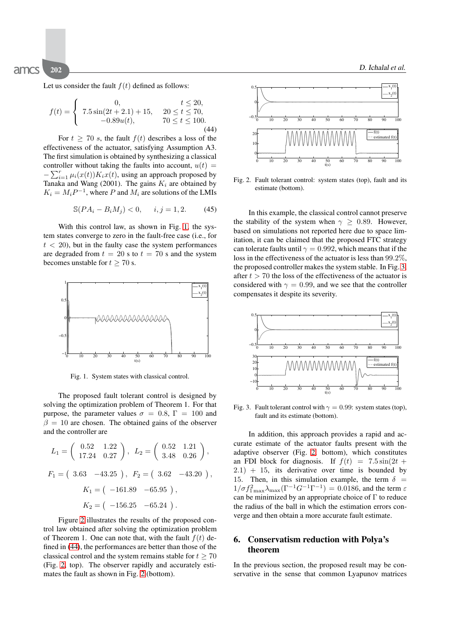Let us consider the fault  $f(t)$  defined as follows:

<span id="page-5-2"></span>
$$
f(t) = \begin{cases} 0, & t \le 20, \\ 7.5\sin(2t + 2.1) + 15, & 20 \le t \le 70, \\ -0.89u(t), & 70 \le t \le 100. \end{cases}
$$
(44)

For  $t \ge 70$  s, the fault  $f(t)$  describes a loss of the effectiveness of the actuator, satisfying Assumption A3. The first simulation is obtained by synthesizing a classical controller without taking the faults into account,  $u(t)$  =  $-\sum_{i=1}^{r} \mu_i(x(t)) K_i x(t)$ , using an approach proposed by Tanaka and Wang (2001). The gains  $K_i$  are obtained by  $K_i = M_i P^{-1}$ , where P and  $M_i$  are solutions of the LMIs

$$
\mathbb{S}(PA_i - B_i M_j) < 0, \quad i, j = 1, 2. \tag{45}
$$

With this control law, as shown in Fig. [1,](#page-5-0) the system states converge to zero in the fault-free case (i.e., for  $t < 20$ , but in the faulty case the system performances are degraded from  $t = 20$  s to  $t = 70$  s and the system becomes unstable for  $t \geq 70$  s.



<span id="page-5-0"></span>Fig. 1. System states with classical control.

The proposed fault tolerant control is designed by solving the optimization problem of Theorem 1. For that purpose, the parameter values  $\sigma = 0.8$ ,  $\Gamma = 100$  and  $\beta = 10$  are chosen. The obtained gains of the observer and the controller are

$$
L_1 = \begin{pmatrix} 0.52 & 1.22 \\ 17.24 & 0.27 \end{pmatrix}, L_2 = \begin{pmatrix} 0.52 & 1.21 \\ 3.48 & 0.26 \end{pmatrix},
$$
  
\n
$$
F_1 = \begin{pmatrix} 3.63 & -43.25 \end{pmatrix}, F_2 = \begin{pmatrix} 3.62 & -43.20 \end{pmatrix},
$$
  
\n
$$
K_1 = \begin{pmatrix} -161.89 & -65.95 \end{pmatrix},
$$
  
\n
$$
K_2 = \begin{pmatrix} -156.25 & -65.24 \end{pmatrix}.
$$

Figure [2](#page-5-1) illustrates the results of the proposed control law obtained after solving the optimization problem of Theorem 1. One can note that, with the fault  $f(t)$  defined in [\(44\)](#page-5-2), the performances are better than those of the classical control and the system remains stable for  $t \geq 70$ (Fig. [2,](#page-5-1) top). The observer rapidly and accurately estimates the fault as shown in Fig. [2](#page-5-1) (bottom).



<span id="page-5-1"></span>Fig. 2. Fault tolerant control: system states (top), fault and its estimate (bottom).

In this example, the classical control cannot preserve the stability of the system when  $\gamma \geq 0.89$ . However, based on simulations not reported here due to space limitation, it can be claimed that the proposed FTC strategy can tolerate faults until  $\gamma = 0.992$ , which means that if the loss in the effectiveness of the actuator is less than 99.2%, the proposed controller makes the system stable. In Fig. [3,](#page-5-3) after  $t > 70$  the loss of the effectiveness of the actuator is considered with  $\gamma = 0.99$ , and we see that the controller compensates it despite its severity.



<span id="page-5-3"></span>Fig. 3. Fault tolerant control with  $\gamma = 0.99$ : system states (top), fault and its estimate (bottom).

In addition, this approach provides a rapid and accurate estimate of the actuator faults present with the adaptive observer (Fig. [2,](#page-5-1) bottom), which constitutes an FDI block for diagnosis. If  $f(t) = 7.5 \sin(2t +$  $(2.1) + 15$ , its derivative over time is bounded by 15. Then, in this simulation example, the term  $\delta =$  $1/\sigma f_{1\max}^2 \lambda_{\max}(\Gamma^{-1}G^{-1}\Gamma^{-1})=0.0186$ , and the term  $\varepsilon$ can be minimized by an appropriate choice of  $\Gamma$  to reduce the radius of the ball in which the estimation errors converge and then obtain a more accurate fault estimate.

## **6. Conservatism reduction with Polya's theorem**

In the previous section, the proposed result may be conservative in the sense that common Lyapunov matrices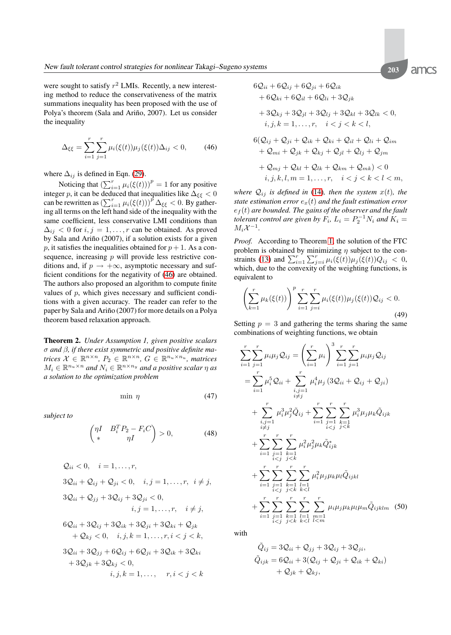were sought to satisfy  $r^2$  LMIs. Recently, a new interesting method to reduce the conservativeness of the matrix summations inequality has been proposed with the use of Polya's theorem (Sala and Ariño, 2007). Let us consider the inequality

<span id="page-6-0"></span>
$$
\Delta_{\xi\xi} = \sum_{i=1}^{r} \sum_{j=1}^{r} \mu_i(\xi(t)) \mu_j(\xi(t)) \Delta_{ij} < 0,\tag{46}
$$

where  $\Delta_{ij}$  is defined in Eqn. [\(29\)](#page-3-5).

Noticing that  $\left(\sum_{i=1}^r \mu_i(\xi(t))\right)^p = 1$  for any positive integer p, it can be deduced that inequalities like  $\Delta_{\xi\xi} < 0$ can be rewritten as  $\left(\sum_{i=1}^r \mu_i(\xi(t))\right)^p \Delta_{\xi\xi} < 0$ . By gathering all terms on the left hand side of the inequality with the same coefficient, less conservative LMI conditions than  $\Delta_{ij}$  < 0 for  $i, j = 1, \ldots, r$  can be obtained. As proved by Sala and Ariño (2007), if a solution exists for a given p, it satisfies the inequalities obtained for  $p + 1$ . As a consequence, increasing  $p$  will provide less restrictive conditions and, if  $p \rightarrow +\infty$ , asymptotic necessary and sufficient conditions for the negativity of [\(46\)](#page-6-0) are obtained. The authors also proposed an algorithm to compute finite values of  $p$ , which gives necessary and sufficient conditions with a given accuracy. The reader can refer to the paper by Sala and Ariño (2007) for more details on a Polya theorem based relaxation approach.

<span id="page-6-1"></span>**Theorem 2.** *Under Assumption 1, given positive scalars* σ *and* β*, if there exist symmetric and positive definite matrices*  $X \in \mathbb{R}^{n \times n}$ ,  $P_2 \in \mathbb{R}^{n \times n}$ ,  $G \in \mathbb{R}^{n_u \times n_u}$ , matrices  $M_i \in \mathbb{R}^{n_u \times n}$  *and*  $N_i \in \mathbb{R}^{n \times n_y}$  *and a positive scalar*  $\eta$  *as a solution to the optimization problem*

$$
\min \eta \tag{47}
$$

*subject to*

$$
\begin{pmatrix} \eta I & B_i^T P_2 - F_i C \\ * & \eta I \end{pmatrix} > 0,
$$
\n(48)

$$
Q_{ii} < 0, \quad i = 1, \dots, r,
$$
\n
$$
3Q_{ii} + Q_{ij} + Q_{ji} < 0, \quad i, j = 1, \dots, r, \quad i \neq j,
$$
\n
$$
3Q_{ii} + Q_{jj} + 3Q_{ij} + 3Q_{ji} < 0,
$$
\n
$$
i, j = 1, \dots, r, \quad i \neq j,
$$
\n
$$
6Q_{ii} + 3Q_{ij} + 3Q_{ik} + 3Q_{ji} + 3Q_{ki} + Q_{jk}
$$
\n
$$
+ Q_{kj} < 0, \quad i, j, k = 1, \dots, r, i < j < k,
$$
\n
$$
3Q_{ii} + 3Q_{ii} + 6Q_{ii} + 6Q_{ii} + 3Q_{ij} + 3Q_{ij} + 3Q_{ij}.
$$

$$
3Q_{ii} + 3Q_{jj} + 6Q_{ij} + 6Q_{ji} + 3Q_{ik} + 3Q_{ki}
$$
  
+ 
$$
3Q_{jk} + 3Q_{kj} < 0,
$$
  

$$
i, j, k = 1, ..., \quad r, i < j < k
$$

 $6\mathcal{Q}_{ii} + 6\mathcal{Q}_{ij} + 6\mathcal{Q}_{ii} + 6\mathcal{Q}_{ik}$  $+ 6\mathcal{Q}_{ki} + 6\mathcal{Q}_{il} + 6\mathcal{Q}_{li} + 3\mathcal{Q}_{ik}$  $+ 3\mathcal{Q}_{ki} + 3\mathcal{Q}_{il} + 3\mathcal{Q}_{lj} + 3\mathcal{Q}_{kl} + 3\mathcal{Q}_{lk} < 0,$ i,  $i, k = 1, \ldots, r, \quad i < j < k < l$ ,  $6(Q_{ij} + Q_{ji} + Q_{ik} + Q_{ki} + Q_{il} + Q_{li} + Q_{im})$ +  $Q_{mi}$  +  $Q_{ik}$  +  $Q_{ki}$  +  $Q_{il}$  +  $Q_{lj}$  +  $Q_{jm}$  $+ Q_{mj} + Q_{kl} + Q_{lk} + Q_{km} + Q_{mk}$   $< 0$ i, i, k, l,  $m = 1, \ldots, r, \quad i < j < k < l < m$ ,

*where*  $Q_{ij}$  *is defined in* [\(14\)](#page-2-8)*, then the system*  $x(t)$ *, the state estimation error*  $e_x(t)$  *and the fault estimation error*  $e_f(t)$  are bounded. The gains of the observer and the fault *tolerant control are given by*  $F_i$ ,  $L_i = P_2^{-1} N_i$  *and*  $K_i =$  $M_i \mathcal{X}^{-1}$ .

*Proof.* According to Theorem [1,](#page-2-5) the solution of the FTC problem is obtained by minimizing  $\eta$  subject to the con-straints [\(13\)](#page-2-7) and  $\sum_{i=1}^r \sum_{j=i}^r \mu_i(\xi(t)) \mu_j(\xi(t)) Q_{ij} < 0$ , which, due to the convexity of the weighting functions, is equivalent to

$$
\left(\sum_{k=1}^{r} \mu_k(\xi(t))\right)^p \sum_{i=1}^{r} \sum_{j=i}^{r} \mu_i(\xi(t)) \mu_j(\xi(t)) \mathcal{Q}_{ij} < 0. \tag{49}
$$

Setting  $p = 3$  and gathering the terms sharing the same combinations of weighting functions, we obtain

$$
\sum_{i=1}^{r} \sum_{j=1}^{r} \mu_{i} \mu_{j} Q_{ij} = \left(\sum_{i=1}^{r} \mu_{i}\right)^{3} \sum_{i=1}^{r} \sum_{j=1}^{r} \mu_{i} \mu_{j} Q_{ij}
$$
\n
$$
= \sum_{i=1}^{r} \mu_{i}^{5} Q_{ii} + \sum_{i,j=1}^{r} \mu_{i}^{4} \mu_{j} \left(3Q_{ii} + Q_{ij} + Q_{ji}\right)
$$
\n
$$
+ \sum_{i,j=1}^{r} \mu_{i}^{3} \mu_{j}^{2} \tilde{Q}_{ij} + \sum_{i=1}^{r} \sum_{\substack{j=1 \\ i\n
$$
+ \sum_{i=1}^{r} \sum_{\substack{j=1 \\ i\n
$$
+ \sum_{i=1}^{r} \sum_{\substack{j=1 \\ i1}}^{r} \mu_{i}^{2} \mu_{j} \mu_{k} \mu_{l} \tilde{Q}_{ijkl}
$$
\n
$$
+ \sum_{i=1}^{r} \sum_{\substack{j=1 \\ i\n
$$
+ \sum_{i=1}^{r} \sum_{\substack{j=1 \\ i\n(50)
$$
$$
$$
$$

with

$$
\begin{aligned}\n\tilde{Q}_{ij} &= 3\mathcal{Q}_{ii} + \mathcal{Q}_{jj} + 3\mathcal{Q}_{ij} + 3\mathcal{Q}_{ji}, \\
\tilde{Q}_{ijk} &= 6\mathcal{Q}_{ii} + 3(\mathcal{Q}_{ij} + \mathcal{Q}_{ji} + \mathcal{Q}_{ik} + \mathcal{Q}_{ki}) \\
&\quad + \mathcal{Q}_{jk} + \mathcal{Q}_{kj},\n\end{aligned}
$$

amcs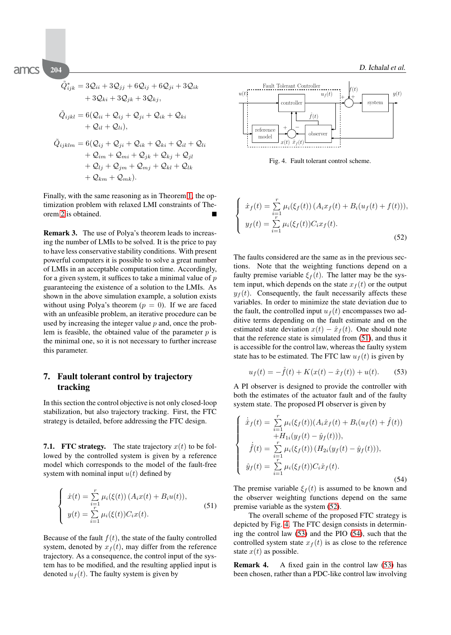$$
\tilde{Q}_{ijk}^* = 3Q_{ii} + 3Q_{jj} + 6Q_{ij} + 6Q_{ji} + 3Q_{ik}
$$
  
+ 3Q\_{ki} + 3Q\_{jk} + 3Q\_{kj},  

$$
\tilde{Q}_{ijkl} = 6(Q_{ii} + Q_{ij} + Q_{ji} + Q_{ik} + Q_{ki}
$$
  
+ Q\_{il} + Q\_{li}),  

$$
\tilde{Q}_{ijklm} = 6(Q_{ij} + Q_{ji} + Q_{ik} + Q_{ki} + Q_{il} + Q_{li}
$$
  
+ Q\_{im} + Q\_{mi} + Q\_{jk} + Q\_{kj} + Q\_{jl}  
+ Q\_{lj} + Q\_{jm} + Q\_{mj} + Q\_{kl} + Q\_{lk}  
+ Q\_{km} + Q\_{mk}).

Finally, with the same reasoning as in Theorem [1,](#page-2-5) the optimization problem with relaxed LMI constraints of The-orem [2](#page-6-1) is obtained.

**Remark 3.** The use of Polya's theorem leads to increasing the number of LMIs to be solved. It is the price to pay to have less conservative stability conditions. With present powerful computers it is possible to solve a great number of LMIs in an acceptable computation time. Accordingly, for a given system, it suffices to take a minimal value of  $p$ guaranteeing the existence of a solution to the LMIs. As shown in the above simulation example, a solution exists without using Polya's theorem  $(p = 0)$ . If we are faced with an unfeasible problem, an iterative procedure can be used by increasing the integer value  $p$  and, once the problem is feasible, the obtained value of the parameter  $p$  is the minimal one, so it is not necessary to further increase this parameter.

## **7. Fault tolerant control by trajectory tracking**

In this section the control objective is not only closed-loop stabilization, but also trajectory tracking. First, the FTC strategy is detailed, before addressing the FTC design.

**7.1. FTC strategy.** The state trajectory  $x(t)$  to be followed by the controlled system is given by a reference model which corresponds to the model of the fault-free system with nominal input  $u(t)$  defined by

<span id="page-7-0"></span>
$$
\begin{cases}\n\dot{x}(t) = \sum_{i=1}^{r} \mu_i(\xi(t)) (A_i x(t) + B_i u(t)), \\
y(t) = \sum_{i=1}^{r} \mu_i(\xi(t)) C_i x(t).\n\end{cases}
$$
\n(51)

Because of the fault  $f(t)$ , the state of the faulty controlled system, denoted by  $x_f(t)$ , may differ from the reference trajectory. As a consequence, the control input of the system has to be modified, and the resulting applied input is denoted  $u_f(t)$ . The faulty system is given by



<span id="page-7-2"></span>Fig. 4. Fault tolerant control scheme.

<span id="page-7-1"></span>
$$
\begin{cases}\n\dot{x}_f(t) = \sum_{\substack{i=1\\r}}^r \mu_i(\xi_f(t)) \left( A_i x_f(t) + B_i(u_f(t) + f(t)) \right), \\
y_f(t) = \sum_{i=1}^r \mu_i(\xi_f(t)) C_i x_f(t).\n\end{cases}
$$
\n(52)

The faults considered are the same as in the previous sections. Note that the weighting functions depend on a faulty premise variable  $\xi_f(t)$ . The latter may be the system input, which depends on the state  $x_f (t)$  or the output  $y_f(t)$ . Consequently, the fault necessarily affects these variables. In order to minimize the state deviation due to the fault, the controlled input  $u_f(t)$  encompasses two additive terms depending on the fault estimate and on the estimated state deviation  $x(t) - \hat{x}_f(t)$ . One should note that the reference state is simulated from [\(51\)](#page-7-0), and thus it is accessible for the control law, whereas the faulty system state has to be estimated. The FTC law  $u_f(t)$  is given by

<span id="page-7-3"></span>
$$
u_f(t) = -\hat{f}(t) + K(x(t) - \hat{x}_f(t)) + u(t).
$$
 (53)

A PI observer is designed to provide the controller with both the estimates of the actuator fault and of the faulty system state. The proposed PI observer is given by

<span id="page-7-4"></span>
$$
\begin{cases}\n\dot{\hat{x}}_f(t) = \sum_{i=1}^r \mu_i(\xi_f(t)) (A_i \hat{x}_f(t) + B_i(u_f(t) + \hat{f}(t)) \\
+ H_{1i}(y_f(t) - \hat{y}_f(t))), \\
\dot{\hat{f}}(t) = \sum_{i=1}^r \mu_i(\xi_f(t)) (H_{2i}(y_f(t) - \hat{y}_f(t))), \\
\hat{y}_f(t) = \sum_{i=1}^r \mu_i(\xi_f(t)) C_i \hat{x}_f(t).\n\end{cases} (54)
$$

The premise variable  $\xi_f(t)$  is assumed to be known and the observer weighting functions depend on the same premise variable as the system [\(52\)](#page-7-1).

The overall scheme of the proposed FTC strategy is depicted by Fig. [4.](#page-7-2) The FTC design consists in determining the control law [\(53\)](#page-7-3) and the PIO [\(54\)](#page-7-4), such that the controlled system state  $x_f(t)$  is as close to the reference state  $x(t)$  as possible.

**Remark 4.** A fixed gain in the control law [\(53\)](#page-7-3) has been chosen, rather than a PDC-like control law involving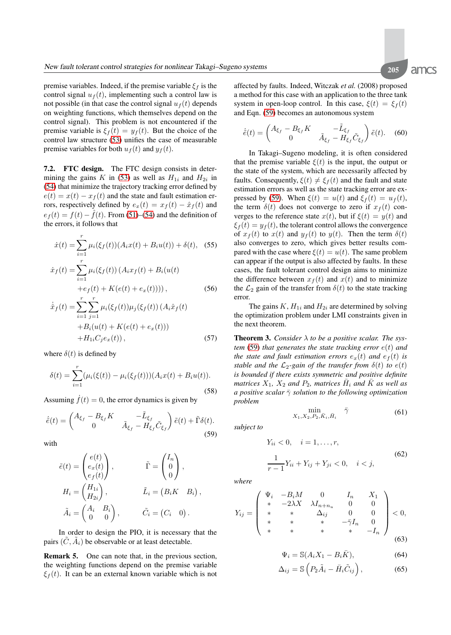premise variables. Indeed, if the premise variable  $\xi_f$  is the control signal  $u_f(t)$ , implementing such a control law is not possible (in that case the control signal  $u_f(t)$  depends on weighting functions, which themselves depend on the control signal). This problem is not encountered if the premise variable is  $\xi_f(t) = y_f(t)$ . But the choice of the control law structure [\(53\)](#page-7-3) unifies the case of measurable premise variables for both  $u_f(t)$  and  $y_f(t)$ .

**7.2. FTC design.** The FTC design consists in deter-mining the gains K in [\(53\)](#page-7-3) as well as  $H_{1i}$  and  $H_{2i}$  in [\(54\)](#page-7-4) that minimize the trajectory tracking error defined by  $e(t) = x(t) - x<sub>f</sub>(t)$  and the state and fault estimation errors, respectively defined by  $e_x(t) = x_f(t) - \hat{x}_f(t)$  and  $e_f(t) = f(t) - \hat{f}(t)$ . From [\(51\)](#page-7-0)–[\(54\)](#page-7-4) and the definition of the errors, it follows that

$$
\dot{x}(t) = \sum_{i=1}^{r} \mu_i(\xi_f(t))(A_i x(t) + B_i u(t)) + \delta(t), \quad (55)
$$

$$
\dot{x}_f(t) = \sum_{i=1}^{r} \mu_i(\xi_f(t)) (A_i x_f(t) + B_i(u(t)) + e_f(t) + K(e(t) + e_x(t)))) \tag{56}
$$

$$
\dot{\hat{x}}_f(t) = \sum_{i=1}^r \sum_{j=1}^r \mu_i(\xi_f(t)) \mu_j(\xi_f(t)) (A_i \hat{x}_f(t) + B_i(u(t) + K(e(t) + e_x(t))) \n+ H_{1i} C_j e_x(t)),
$$
\n(57)

where  $\delta(t)$  is defined by

<span id="page-8-1"></span>
$$
\delta(t) = \sum_{i=1}^{r} (\mu_i(\xi(t)) - \mu_i(\xi_f(t)))(A_i x(t) + B_i u(t)).
$$
\n(58)

Assuming  $\dot{f}(t)=0$ , the error dynamics is given by

<span id="page-8-0"></span>
$$
\dot{\tilde{e}}(t) = \begin{pmatrix} A_{\xi_f} - B_{\xi_f} K & -\tilde{L}_{\xi_f} \\ 0 & \tilde{A}_{\xi_f} - H_{\xi_f} \tilde{C}_{\xi_f} \end{pmatrix} \tilde{e}(t) + \tilde{\Gamma} \delta(t). \tag{59}
$$

with

$$
\tilde{e}(t) = \begin{pmatrix} e(t) \\ e_x(t) \\ e_f(t) \end{pmatrix}, \qquad \tilde{\Gamma} = \begin{pmatrix} I_n \\ 0 \\ 0 \end{pmatrix},
$$
  
\n
$$
H_i = \begin{pmatrix} H_{1i} \\ H_{2i} \end{pmatrix}, \qquad \tilde{L}_i = \begin{pmatrix} B_i K & B_i \end{pmatrix},
$$
  
\n
$$
\tilde{A}_i = \begin{pmatrix} A_i & B_i \\ 0 & 0 \end{pmatrix}, \qquad \tilde{C}_i = \begin{pmatrix} C_i & 0 \end{pmatrix}.
$$

In order to design the PIO, it is necessary that the pairs  $(C, A_i)$  be observable or at least detectable.

**Remark 5.** One can note that, in the previous section, the weighting functions depend on the premise variable  $\xi_f(t)$ . It can be an external known variable which is not affected by faults. Indeed, Witczak *et al.* (2008) proposed a method for this case with an application to the three tank system in open-loop control. In this case,  $\xi(t) = \xi_f(t)$ and Eqn. [\(59\)](#page-8-0) becomes an autonomous system

$$
\dot{\tilde{e}}(t) = \begin{pmatrix} A_{\xi_f} - B_{\xi_f} K & -\tilde{L}_{\xi_f} \\ 0 & \tilde{A}_{\xi_f} - H_{\xi_f} \tilde{C}_{\xi_f} \end{pmatrix} \tilde{e}(t). \quad (60)
$$

In Takagi–Sugeno modeling, it is often considered that the premise variable  $\xi(t)$  is the input, the output or the state of the system, which are necessarily affected by faults. Consequently,  $\xi(t) \neq \xi_f(t)$  and the fault and state estimation errors as well as the state tracking error are ex-pressed by [\(59\)](#page-8-0). When  $\xi(t) = u(t)$  and  $\xi_f(t) = u_f(t)$ , the term  $\delta(t)$  does not converge to zero if  $x_f(t)$  converges to the reference state  $x(t)$ , but if  $\xi(t) = y(t)$  and  $\xi_f(t) = y_f(t)$ , the tolerant control allows the convergence of  $x_f(t)$  to  $x(t)$  and  $y_f(t)$  to  $y(t)$ . Then the term  $\delta(t)$ also converges to zero, which gives better results compared with the case where  $\xi(t) = u(t)$ . The same problem can appear if the output is also affected by faults. In these cases, the fault tolerant control design aims to minimize the difference between  $x_f(t)$  and  $x(t)$  and to minimize the  $\mathcal{L}_2$  gain of the transfer from  $\delta(t)$  to the state tracking error.

The gains  $K$ ,  $H_{1i}$  and  $H_{2i}$  are determined by solving the optimization problem under LMI constraints given in the next theorem.

<span id="page-8-4"></span>**Theorem 3.** *Consider*  $\lambda$  *to be a positive scalar. The system* [\(59\)](#page-8-0) *that generates the state tracking error* e(t) *and the state and fault estimation errors*  $e_x(t)$  *and*  $e_f(t)$  *is stable and the*  $\mathcal{L}_2$ -gain of the transfer from  $\delta(t)$  to  $e(t)$ *is bounded if there exists symmetric and positive definite matrices*  $X_1$ ,  $X_2$  *and*  $P_2$ *, matrices*  $\overline{H}_i$  *and*  $\overline{K}$  *as well as a positive scalar* γ¯ *solution to the following optimization problem*

$$
\min_{X_1, X_2, P_2, \bar{K}_i, \bar{H}_i} \quad \bar{\gamma} \tag{61}
$$

*subject to*

$$
Y_{ii} < 0, \quad i = 1, \dots, r,
$$
\n
$$
\frac{1}{r-1} Y_{ii} + Y_{ij} + Y_{ji} < 0, \quad i < j,
$$
\n
$$
(62)
$$

*where*

<span id="page-8-2"></span>
$$
Y_{ij} = \begin{pmatrix} \Psi_i & -B_i M & 0 & I_n & X_1 \\ * & -2\lambda X & \lambda I_{n+n_u} & 0 & 0 \\ * & * & \Delta_{ij} & 0 & 0 \\ * & * & * & -\bar{\gamma}I_n & 0 \\ * & * & * & * & -I_n \end{pmatrix} < 0,
$$
\n(63)

<span id="page-8-3"></span>
$$
\Psi_i = \mathbb{S}(A_i X_1 - B_i \bar{K}),\tag{64}
$$

$$
\Delta_{ij} = \mathbb{S}\left(P_2\tilde{A}_i - \bar{H}_i\tilde{C}_{ij}\right),\tag{65}
$$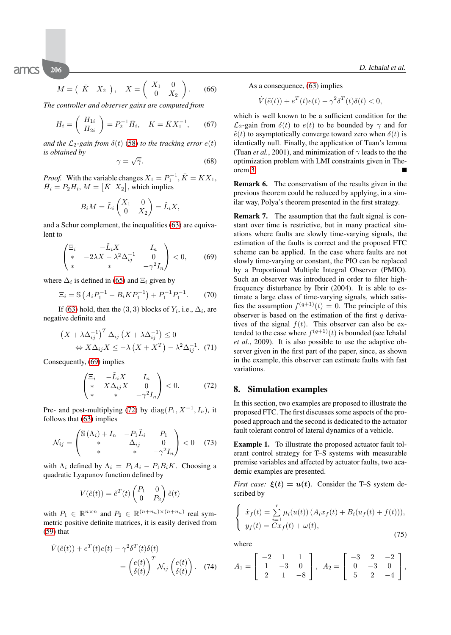$$
M = \begin{pmatrix} \bar{K} & X_2 \end{pmatrix}, \quad X = \begin{pmatrix} X_1 & 0 \\ 0 & X_2 \end{pmatrix}.
$$
 (66)

*The controller and observer gains are computed from*

$$
H_i = \left(\begin{array}{c} H_{1i} \\ H_{2i} \end{array}\right) = P_2^{-1} \bar{H}_i, \quad K = \bar{K} X_1^{-1}, \tag{67}
$$

*and the*  $\mathcal{L}_2$ -gain from  $\delta(t)$  [\(58\)](#page-8-1) *to the tracking error*  $e(t)$ *is obtained by*

$$
\gamma = \sqrt{\overline{\gamma}}.\tag{68}
$$

*Proof.* With the variable changes  $X_1 = P_1^{-1}$ ,  $\overline{K} = K X_1$ ,  $\bar{H}_i = P_2 H_i$ ,  $M = [\bar{K} \ X_2]$ , which implies

$$
B_i M = \tilde{L}_i \begin{pmatrix} X_1 & 0 \\ 0 & X_2 \end{pmatrix} = \tilde{L}_i X,
$$

and a Schur complement, the inequalities [\(63\)](#page-8-2) are equivalent to

<span id="page-9-0"></span>
$$
\begin{pmatrix} \Xi_i & -\tilde{L}_i X & I_n \\ * & -2\lambda X - \lambda^2 \Delta_{ij}^{-1} & 0 \\ * & * & -\gamma^2 I_n \end{pmatrix} < 0,\qquad(69)
$$

where  $\Delta_i$  is defined in [\(65\)](#page-8-3) and  $\Xi_i$  given by

$$
\Xi_i = \mathbb{S}\left(A_i P_1^{-1} - B_i K P_1^{-1}\right) + P_1^{-1} P_1^{-1}.\tag{70}
$$

If [\(63\)](#page-8-2) hold, then the (3, 3) blocks of  $Y_i$ , i.e.,  $\Delta_i$ , are negative definite and

$$
\left(X + \lambda \Delta_{ij}^{-1}\right)^T \Delta_{ij} \left(X + \lambda \Delta_{ij}^{-1}\right) \le 0
$$
  

$$
\Leftrightarrow X \Delta_{ij} X \le -\lambda \left(X + X^T\right) - \lambda^2 \Delta_{ij}^{-1}. \tag{71}
$$

Consequently, [\(69\)](#page-9-0) implies

<span id="page-9-1"></span>
$$
\begin{pmatrix} \Xi_i & -\tilde{L}_i X & I_n \\ * & X \Delta_{ij} X & 0 \\ * & * & -\gamma^2 I_n \end{pmatrix} < 0. \tag{72}
$$

Pre- and post-multiplying [\(72\)](#page-9-1) by  $diag(P_1, X^{-1}, I_n)$ , it follows that [\(63\)](#page-8-2) implies

$$
\mathcal{N}_{ij} = \begin{pmatrix} \mathbb{S} \left( \Lambda_i \right) + I_n & -P_1 \tilde{L}_i & P_1 \\ * & \Delta_{ij} & 0 \\ * & * & -\gamma^2 I_n \end{pmatrix} < 0 \quad (73)
$$

with  $\Lambda_i$  defined by  $\Lambda_i = P_1 A_i - P_1 B_i K$ . Choosing a quadratic Lyapunov function defined by

$$
V(\tilde{e}(t)) = \tilde{e}^{T}(t) \begin{pmatrix} P_1 & 0 \\ 0 & P_2 \end{pmatrix} \tilde{e}(t)
$$

with  $P_1 \in \mathbb{R}^{n \times n}$  and  $P_2 \in \mathbb{R}^{(n+n_u)\times (n+n_u)}$  real symmetric positive definite matrices, it is easily derived from [\(59\)](#page-8-0) that

$$
\dot{V}(\tilde{e}(t)) + e^{T}(t)e(t) - \gamma^{2} \delta^{T}(t)\delta(t)
$$
\n
$$
= \begin{pmatrix} e(t) \\ \delta(t) \end{pmatrix}^{T} \mathcal{N}_{ij} \begin{pmatrix} e(t) \\ \delta(t) \end{pmatrix} . \quad (74)
$$

**206** D. Ichalal *et al.*

As a consequence, [\(63\)](#page-8-2) implies

$$
\dot{V}(\tilde{e}(t)) + e^T(t)e(t) - \gamma^2 \delta^T(t)\delta(t) < 0,
$$

which is well known to be a sufficient condition for the  $\mathcal{L}_2$ -gain from  $\delta(t)$  to  $e(t)$  to be bounded by  $\gamma$  and for  $\tilde{e}(t)$  to asymptotically converge toward zero when  $\delta(t)$  is identically null. Finally, the application of Tuan's lemma (Tuan *et al.*, 2001), and minimization of  $\gamma$  leads to the the optimization problem with LMI constraints given in The-orem [3.](#page-8-4)

**Remark 6.** The conservatism of the results given in the previous theorem could be reduced by applying, in a similar way, Polya's theorem presented in the first strategy.

**Remark 7.** The assumption that the fault signal is constant over time is restrictive, but in many practical situations where faults are slowly time-varying signals, the estimation of the faults is correct and the proposed FTC scheme can be applied. In the case where faults are not slowly time-varying or constant, the PIO can be replaced by a Proportional Multiple Integral Observer (PMIO). Such an observer was introduced in order to filter highfrequency disturbance by Ibrir (2004). It is able to estimate a large class of time-varying signals, which satisfies the assumption  $f^{(q+1)}(t)=0$ . The principle of this observer is based on the estimation of the first  $q$  derivatives of the signal  $f(t)$ . This observer can also be extended to the case where  $f^{(q+1)}(t)$  is bounded (see Ichalal *et al.*, 2009). It is also possible to use the adaptive observer given in the first part of the paper, since, as shown in the example, this observer can estimate faults with fast variations.

### **8. Simulation examples**

In this section, two examples are proposed to illustrate the proposed FTC. The first discusses some aspects of the proposed approach and the second is dedicated to the actuator fault tolerant control of lateral dynamics of a vehicle.

**Example 1.** To illustrate the proposed actuator fault tolerant control strategy for T–S systems with measurable premise variables and affected by actuator faults, two academic examples are presented.

*First case:*  $\xi(t) = u(t)$ . Consider the T–S system described by

$$
\begin{cases}\n\dot{x}_f(t) = \sum_{i=1}^r \mu_i(u(t)) (A_i x_f(t) + B_i(u_f(t) + f(t))), \ny_f(t) = C x_f(t) + \omega(t),\n\end{cases}
$$
\n(75)

where

$$
A_1 = \begin{bmatrix} -2 & 1 & 1 \\ 1 & -3 & 0 \\ 2 & 1 & -8 \end{bmatrix}, A_2 = \begin{bmatrix} -3 & 2 & -2 \\ 0 & -3 & 0 \\ 5 & 2 & -4 \end{bmatrix},
$$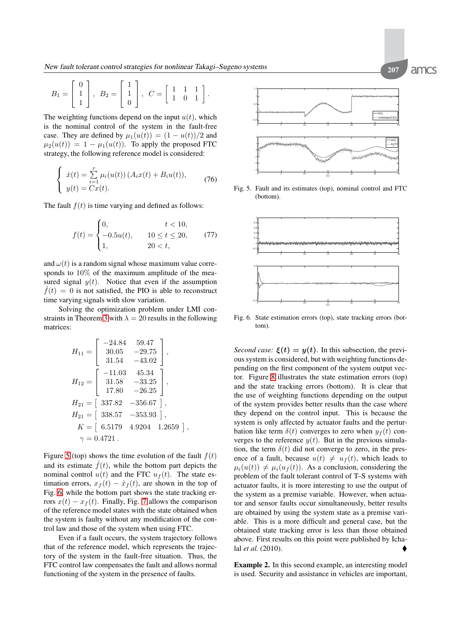$$
B_1 = \left[ \begin{array}{c} 0 \\ 1 \\ 1 \end{array} \right], \ B_2 = \left[ \begin{array}{c} 1 \\ 1 \\ 0 \end{array} \right], \ C = \left[ \begin{array}{ccc} 1 & 1 & 1 \\ 1 & 0 & 1 \end{array} \right].
$$

The weighting functions depend on the input  $u(t)$ , which is the nominal control of the system in the fault-free case. They are defined by  $\mu_1(u(t)) = (1 - u(t))/2$  and  $\mu_2(u(t)) = 1 - \mu_1(u(t))$ . To apply the proposed FTC strategy, the following reference model is considered:

$$
\begin{cases}\n\dot{x}(t) = \sum_{i=1}^{r} \mu_i(u(t)) (A_i x(t) + B_i u(t)), \\
y(t) = Cx(t).\n\end{cases} (76)
$$

The fault  $f(t)$  is time varying and defined as follows:

$$
f(t) = \begin{cases} 0, & t < 10, \\ -0.5u(t), & 10 \le t \le 20, \\ 1, & 20 < t, \end{cases}
$$
 (77)

and  $\omega(t)$  is a random signal whose maximum value corresponds to  $10\%$  of the maximum amplitude of the measured signal  $y(t)$ . Notice that even if the assumption  $\dot{f}(t)=0$  is not satisfied, the PIO is able to reconstruct time varying signals with slow variation.

Solving the optimization problem under LMI con-straints in Theorem [3](#page-8-4) with  $\lambda = 20$  results in the following matrices:

$$
H_{11} = \begin{bmatrix} -24.84 & 59.47 \\ 30.05 & -29.75 \\ 31.54 & -43.02 \end{bmatrix},
$$
  
\n
$$
H_{12} = \begin{bmatrix} -11.03 & 45.34 \\ 31.58 & -33.25 \\ 17.80 & -26.25 \end{bmatrix},
$$
  
\n
$$
H_{21} = \begin{bmatrix} 337.82 & -356.67 \\ 38.57 & -353.93 \end{bmatrix},
$$
  
\n
$$
K = \begin{bmatrix} 6.5179 & 4.9204 & 1.2659 \\ 9.4721 \end{bmatrix}
$$

,

Figure [5](#page-10-0) (top) shows the time evolution of the fault  $f(t)$ and its estimate  $\hat{f}(t)$ , while the bottom part depicts the nominal control  $u(t)$  and the FTC  $u<sub>f</sub>(t)$ . The state estimation errors,  $x_f(t) - \hat{x}_f(t)$ , are shown in the top of Fig. [6,](#page-10-1) while the bottom part shows the state tracking errors  $x(t) - x<sub>f</sub>(t)$ . Finally, Fig. [7](#page-11-0) allows the comparison of the reference model states with the state obtained when the system is faulty without any modification of the control law and those of the system when using FTC.

Even if a fault occurs, the system trajectory follows that of the reference model, which represents the trajectory of the system in the fault-free situation. Thus, the FTC control law compensates the fault and allows normal functioning of the system in the presence of faults.



<span id="page-10-0"></span>Fig. 5. Fault and its estimates (top), nominal control and FTC (bottom).



<span id="page-10-1"></span>Fig. 6. State estimation errors (top), state tracking errors (bottom).

*Second case:*  $\xi(t) = y(t)$ . In this subsection, the previous system is considered, but with weighting functions depending on the first component of the system output vector. Figure [8](#page-11-1) illustrates the state estimation errors (top) and the state tracking errors (bottom). It is clear that the use of weighting functions depending on the output of the system provides better results than the case where they depend on the control input. This is because the system is only affected by actuator faults and the perturbation like term  $\delta(t)$  converges to zero when  $y_f(t)$  converges to the reference  $y(t)$ . But in the previous simulation, the term  $\delta(t)$  did not converge to zero, in the presence of a fault, because  $u(t) \neq u_f(t)$ , which leads to  $\mu_i(u(t)) \neq \mu_i(u_f(t))$ . As a conclusion, considering the problem of the fault tolerant control of T–S systems with actuator faults, it is more interesting to use the output of the system as a premise variable. However, when actuator and sensor faults occur simultaneously, better results are obtained by using the system state as a premise variable. This is a more difficult and general case, but the obtained state tracking error is less than those obtained above. First results on this point were published by Ichalal *et al.* (2010).

**Example 2.** In this second example, an interesting model is used. Security and assistance in vehicles are important,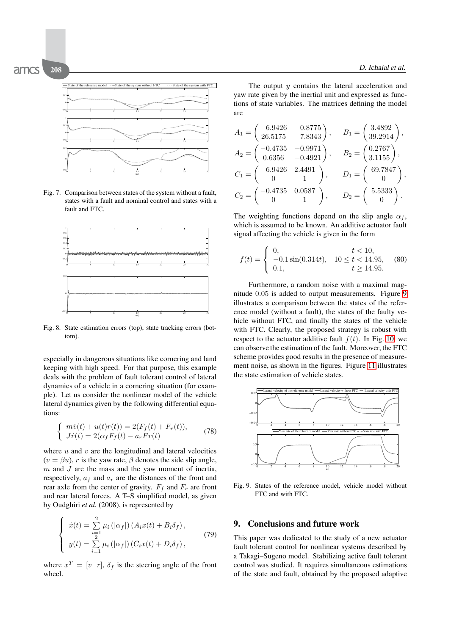

<span id="page-11-0"></span>Fig. 7. Comparison between states of the system without a fault, states with a fault and nominal control and states with a fault and FTC.



<span id="page-11-1"></span>Fig. 8. State estimation errors (top), state tracking errors (bottom).

especially in dangerous situations like cornering and land keeping with high speed. For that purpose, this example deals with the problem of fault tolerant control of lateral dynamics of a vehicle in a cornering situation (for example). Let us consider the nonlinear model of the vehicle lateral dynamics given by the following differential equations:

$$
\begin{cases}\n m\dot{v}(t) + u(t)r(t) = 2(F_f(t) + F_r(t)), \\
 J\dot{r}(t) = 2(\alpha_f F_f(t) - a_r Fr(t))\n\end{cases} (78)
$$

where  $u$  and  $v$  are the longitudinal and lateral velocities  $(v = \beta u)$ , r is the yaw rate,  $\beta$  denotes the side slip angle,  $m$  and  $J$  are the mass and the yaw moment of inertia, respectively,  $a_f$  and  $a_r$  are the distances of the front and rear axle from the center of gravity.  $F_f$  and  $F_r$  are front and rear lateral forces. A T–S simplified model, as given by Oudghiri *et al.* (2008), is represented by

$$
\begin{cases}\n\dot{x}(t) = \sum_{i=1}^{2} \mu_i \left( |\alpha_f| \right) \left( A_i x(t) + B_i \delta_f \right), \\
y(t) = \sum_{i=1}^{2} \mu_i \left( |\alpha_f| \right) \left( C_i x(t) + D_i \delta_f \right),\n\end{cases} \tag{79}
$$

where  $x^T = [v \ r]$ ,  $\delta_f$  is the steering angle of the front wheel.

The output  $y$  contains the lateral acceleration and yaw rate given by the inertial unit and expressed as functions of state variables. The matrices defining the model are

$$
A_1 = \begin{pmatrix} -6.9426 & -0.8775 \\ 26.5175 & -7.8343 \end{pmatrix}, \qquad B_1 = \begin{pmatrix} 3.4892 \\ 39.2914 \end{pmatrix},
$$
  
\n
$$
A_2 = \begin{pmatrix} -0.4735 & -0.9971 \\ 0.6356 & -0.4921 \end{pmatrix}, \qquad B_2 = \begin{pmatrix} 0.2767 \\ 3.1155 \end{pmatrix},
$$
  
\n
$$
C_1 = \begin{pmatrix} -6.9426 & 2.4491 \\ 0 & 1 \end{pmatrix}, \qquad D_1 = \begin{pmatrix} 69.7847 \\ 0 \end{pmatrix},
$$
  
\n
$$
C_2 = \begin{pmatrix} -0.4735 & 0.0587 \\ 0 & 1 \end{pmatrix}, \qquad D_2 = \begin{pmatrix} 5.5333 \\ 0 \end{pmatrix}.
$$

The weighting functions depend on the slip angle  $\alpha_f$ , which is assumed to be known. An additive actuator fault signal affecting the vehicle is given in the form

$$
f(t) = \begin{cases} 0, & t < 10, \\ -0.1 \sin(0.314t), & 10 \le t < 14.95, \\ 0.1, & t \ge 14.95. \end{cases}
$$
 (80)

Furthermore, a random noise with a maximal magnitude 0.05 is added to output measurements. Figure [9](#page-11-2) illustrates a comparison between the states of the reference model (without a fault), the states of the faulty vehicle without FTC, and finally the states of the vehicle with FTC. Clearly, the proposed strategy is robust with respect to the actuator additive fault  $f(t)$ . In Fig. [10,](#page-12-0) we can observe the estimation of the fault. Moreover, the FTC scheme provides good results in the presence of measurement noise, as shown in the figures. Figure [11](#page-12-1) illustrates the state estimation of vehicle states.



<span id="page-11-2"></span>Fig. 9. States of the reference model, vehicle model without FTC and with FTC.

### **9. Conclusions and future work**

This paper was dedicated to the study of a new actuator fault tolerant control for nonlinear systems described by a Takagi–Sugeno model. Stabilizing active fault tolerant control was studied. It requires simultaneous estimations of the state and fault, obtained by the proposed adaptive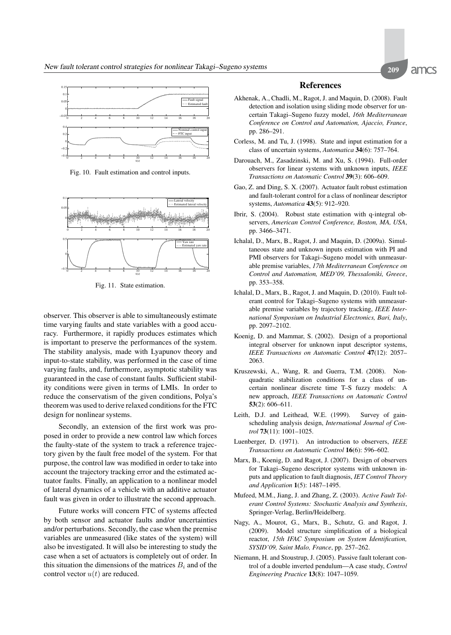

<span id="page-12-0"></span>Fig. 10. Fault estimation and control inputs.



<span id="page-12-1"></span>Fig. 11. State estimation.

observer. This observer is able to simultaneously estimate time varying faults and state variables with a good accuracy. Furthermore, it rapidly produces estimates which is important to preserve the performances of the system. The stability analysis, made with Lyapunov theory and input-to-state stability, was performed in the case of time varying faults, and, furthermore, asymptotic stability was guaranteed in the case of constant faults. Sufficient stability conditions were given in terms of LMIs. In order to reduce the conservatism of the given conditions, Polya's theorem was used to derive relaxed conditions for the FTC design for nonlinear systems.

Secondly, an extension of the first work was proposed in order to provide a new control law which forces the faulty-state of the system to track a reference trajectory given by the fault free model of the system. For that purpose, the control law was modified in order to take into account the trajectory tracking error and the estimated actuator faults. Finally, an application to a nonlinear model of lateral dynamics of a vehicle with an additive actuator fault was given in order to illustrate the second approach.

Future works will concern FTC of systems affected by both sensor and actuator faults and/or uncertainties and/or perturbations. Secondly, the case when the premise variables are unmeasured (like states of the system) will also be investigated. It will also be interesting to study the case when a set of actuators is completely out of order. In this situation the dimensions of the matrices  $B_i$  and of the control vector  $u(t)$  are reduced.

## **References**

- Akhenak, A., Chadli, M., Ragot, J. and Maquin, D. (2008). Fault detection and isolation using sliding mode observer for uncertain Takagi–Sugeno fuzzy model, *16th Mediterranean Conference on Control and Automation, Ajaccio, France*, pp. 286–291.
- Corless, M. and Tu, J. (1998). State and input estimation for a class of uncertain systems, *Automatica* **34**(6): 757–764.
- Darouach, M., Zasadzinski, M. and Xu, S. (1994). Full-order observers for linear systems with unknown inputs, *IEEE Transactions on Automatic Control* **39**(3): 606–609.
- Gao, Z. and Ding, S. X. (2007). Actuator fault robust estimation and fault-tolerant control for a class of nonlinear descriptor systems, *Automatica* **43**(5): 912–920.
- Ibrir, S. (2004). Robust state estimation with q-integral observers, *American Control Conference, Boston, MA, USA*, pp. 3466–3471.
- Ichalal, D., Marx, B., Ragot, J. and Maquin, D. (2009a). Simultaneous state and unknown inputs estimation with PI and PMI observers for Takagi–Sugeno model with unmeasurable premise variables, *17th Mediterranean Conference on Control and Automation, MED'09, Thessaloniki, Greece*, pp. 353–358.
- Ichalal, D., Marx, B., Ragot, J. and Maquin, D. (2010). Fault tolerant control for Takagi–Sugeno systems with unmeasurable premise variables by trajectory tracking, *IEEE International Symposium on Industrial Electronics, Bari, Italy*, pp. 2097–2102.
- Koenig, D. and Mammar, S. (2002). Design of a proportional integral observer for unknown input descriptor systems, *IEEE Transactions on Automatic Control* **47**(12): 2057– 2063.
- Kruszewski, A., Wang, R. and Guerra, T.M. (2008). Nonquadratic stabilization conditions for a class of uncertain nonlinear discrete time T–S fuzzy models: A new approach, *IEEE Transactions on Automatic Control* **53**(2): 606–611.
- Leith, D.J. and Leithead, W.E. (1999). Survey of gainscheduling analysis design, *International Journal of Control* **73**(11): 1001–1025.
- Luenberger, D. (1971). An introduction to observers, *IEEE Transactions on Automatic Control* **16**(6): 596–602.
- Marx, B., Koenig, D. and Ragot, J. (2007). Design of observers for Takagi–Sugeno descriptor systems with unknown inputs and application to fault diagnosis, *IET Control Theory and Application* **1**(5): 1487–1495.
- Mufeed, M.M., Jiang, J. and Zhang, Z. (2003). *Active Fault Tolerant Control Systems: Stochastic Analysis and Synthesis*, Springer-Verlag, Berlin/Heidelberg.
- Nagy, A., Mourot, G., Marx, B., Schutz, G. and Ragot, J. (2009). Model structure simplification of a biological reactor, *15th IFAC Symposium on System Identification, SYSID'09, Saint Malo, France*, pp. 257–262.
- Niemann, H. and Stoustrup, J. (2005). Passive fault tolerant control of a double inverted pendulum—A case study, *Control Engineering Practice* **13**(8): 1047–1059.

amcs